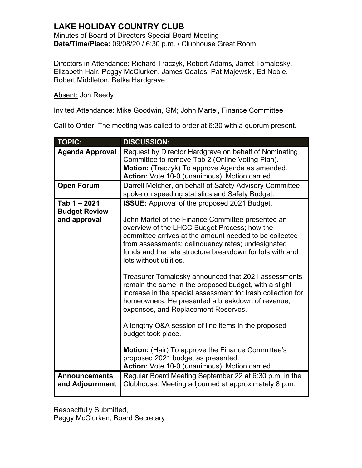## **LAKE HOLIDAY COUNTRY CLUB**

Minutes of Board of Directors Special Board Meeting **Date/Time/Place:** 09/08/20 / 6:30 p.m. / Clubhouse Great Room

Directors in Attendance: Richard Traczyk, Robert Adams, Jarret Tomalesky, Elizabeth Hair, Peggy McClurken, James Coates, Pat Majewski, Ed Noble, Robert Middleton, Betka Hardgrave

Absent: Jon Reedy

Invited Attendance: Mike Goodwin, GM; John Martel, Finance Committee

Call to Order: The meeting was called to order at 6:30 with a quorum present.

| <b>TOPIC:</b>          | <b>DISCUSSION:</b>                                                                                              |
|------------------------|-----------------------------------------------------------------------------------------------------------------|
| <b>Agenda Approval</b> | Request by Director Hardgrave on behalf of Nominating                                                           |
|                        | Committee to remove Tab 2 (Online Voting Plan).                                                                 |
|                        | Motion: (Traczyk) To approve Agenda as amended.                                                                 |
|                        | Action: Vote 10-0 (unanimous). Motion carried.                                                                  |
| <b>Open Forum</b>      | Darrell Melcher, on behalf of Safety Advisory Committee                                                         |
|                        | spoke on speeding statistics and Safety Budget.                                                                 |
| Tab 1-2021             | <b>ISSUE:</b> Approval of the proposed 2021 Budget.                                                             |
| <b>Budget Review</b>   |                                                                                                                 |
| and approval           | John Martel of the Finance Committee presented an                                                               |
|                        | overview of the LHCC Budget Process; how the                                                                    |
|                        | committee arrives at the amount needed to be collected                                                          |
|                        | from assessments; delinguency rates; undesignated                                                               |
|                        | funds and the rate structure breakdown for lots with and<br>lots without utilities.                             |
|                        |                                                                                                                 |
|                        | Treasurer Tomalesky announced that 2021 assessments<br>remain the same in the proposed budget, with a slight    |
|                        | increase in the special assessment for trash collection for<br>homeowners. He presented a breakdown of revenue, |
|                        | expenses, and Replacement Reserves.                                                                             |
|                        | A lengthy Q&A session of line items in the proposed                                                             |
|                        | budget took place.                                                                                              |
|                        | <b>Motion:</b> (Hair) To approve the Finance Committee's                                                        |
|                        | proposed 2021 budget as presented.                                                                              |
|                        | Action: Vote 10-0 (unanimous). Motion carried.                                                                  |
| <b>Announcements</b>   | Regular Board Meeting September 22 at 6:30 p.m. in the                                                          |
| and Adjournment        | Clubhouse. Meeting adjourned at approximately 8 p.m.                                                            |
|                        |                                                                                                                 |

Respectfully Submitted, Peggy McClurken, Board Secretary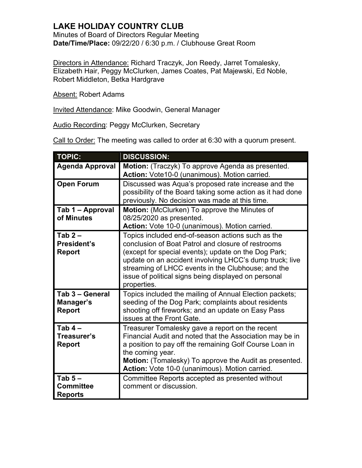## **LAKE HOLIDAY COUNTRY CLUB**

Minutes of Board of Directors Regular Meeting **Date/Time/Place:** 09/22/20 / 6:30 p.m. / Clubhouse Great Room

Directors in Attendance: Richard Traczyk, Jon Reedy, Jarret Tomalesky, Elizabeth Hair, Peggy McClurken, James Coates, Pat Majewski, Ed Noble, Robert Middleton, Betka Hardgrave

Absent: Robert Adams

Invited Attendance: Mike Goodwin, General Manager

Audio Recording: Peggy McClurken, Secretary

Call to Order: The meeting was called to order at 6:30 with a quorum present.

| <b>TOPIC:</b>                                   | <b>DISCUSSION:</b>                                                                                                                                                                                                                                                                                                                                      |
|-------------------------------------------------|---------------------------------------------------------------------------------------------------------------------------------------------------------------------------------------------------------------------------------------------------------------------------------------------------------------------------------------------------------|
| <b>Agenda Approval</b>                          | Motion: (Traczyk) To approve Agenda as presented.<br>Action: Vote10-0 (unanimous). Motion carried.                                                                                                                                                                                                                                                      |
| <b>Open Forum</b>                               | Discussed was Aqua's proposed rate increase and the<br>possibility of the Board taking some action as it had done<br>previously. No decision was made at this time.                                                                                                                                                                                     |
| Tab 1 - Approval<br>of Minutes                  | Motion: (McClurken) To approve the Minutes of<br>08/25/2020 as presented.<br>Action: Vote 10-0 (unanimous). Motion carried.                                                                                                                                                                                                                             |
| Tab $2-$<br><b>President's</b><br><b>Report</b> | Topics included end-of-season actions such as the<br>conclusion of Boat Patrol and closure of restrooms<br>(except for special events); update on the Dog Park;<br>update on an accident involving LHCC's dump truck; live<br>streaming of LHCC events in the Clubhouse; and the<br>issue of political signs being displayed on personal<br>properties. |
| Tab 3 - General<br>Manager's<br><b>Report</b>   | Topics included the mailing of Annual Election packets;<br>seeding of the Dog Park; complaints about residents<br>shooting off fireworks; and an update on Easy Pass<br>issues at the Front Gate.                                                                                                                                                       |
| Tab $4-$<br>Treasurer's<br><b>Report</b>        | Treasurer Tomalesky gave a report on the recent<br>Financial Audit and noted that the Association may be in<br>a position to pay off the remaining Golf Course Loan in<br>the coming year.<br>Motion: (Tomalesky) To approve the Audit as presented.<br>Action: Vote 10-0 (unanimous). Motion carried.                                                  |
| Tab $5-$<br><b>Committee</b><br><b>Reports</b>  | Committee Reports accepted as presented without<br>comment or discussion.                                                                                                                                                                                                                                                                               |